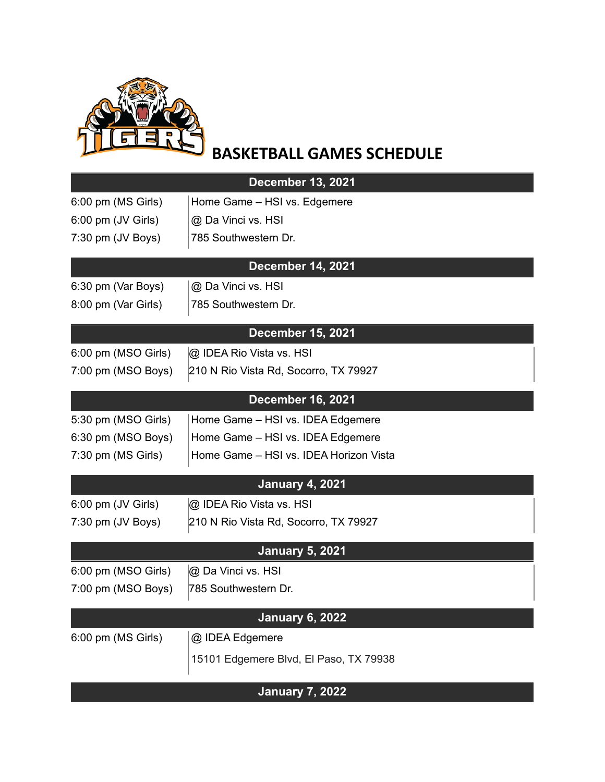

## **BASKETBALL GAMES SCHEDULE**

| <b>December 13, 2021</b> |                                        |  |
|--------------------------|----------------------------------------|--|
| 6:00 pm (MS Girls)       | Home Game - HSI vs. Edgemere           |  |
| 6:00 pm (JV Girls)       | @ Da Vinci vs. HSI                     |  |
| 7:30 pm (JV Boys)        | 785 Southwestern Dr.                   |  |
| <b>December 14, 2021</b> |                                        |  |
| 6:30 pm (Var Boys)       | @ Da Vinci vs. HSI                     |  |
| 8:00 pm (Var Girls)      | 785 Southwestern Dr.                   |  |
|                          | <b>December 15, 2021</b>               |  |
| 6:00 pm (MSO Girls)      | @ IDEA Rio Vista vs. HSI               |  |
| 7:00 pm (MSO Boys)       | 210 N Rio Vista Rd, Socorro, TX 79927  |  |
|                          | <b>December 16, 2021</b>               |  |
| 5:30 pm (MSO Girls)      | Home Game - HSI vs. IDEA Edgemere      |  |
| 6:30 pm (MSO Boys)       | Home Game - HSI vs. IDEA Edgemere      |  |
| 7:30 pm (MS Girls)       | Home Game - HSI vs. IDEA Horizon Vista |  |
|                          | <b>January 4, 2021</b>                 |  |
| 6:00 pm (JV Girls)       | @ IDEA Rio Vista vs. HSI               |  |
| 7:30 pm (JV Boys)        | 210 N Rio Vista Rd, Socorro, TX 79927  |  |
|                          | <b>January 5, 2021</b>                 |  |
| 6:00 pm (MSO Girls)      | @ Da Vinci vs. HSI                     |  |
| 7:00 pm (MSO Boys)       | 785 Southwestern Dr.                   |  |
| <b>January 6, 2022</b>   |                                        |  |
| 6:00 pm (MS Girls)       | @ IDEA Edgemere                        |  |
|                          | 15101 Edgemere Blvd, El Paso, TX 79938 |  |
| <b>January 7, 2022</b>   |                                        |  |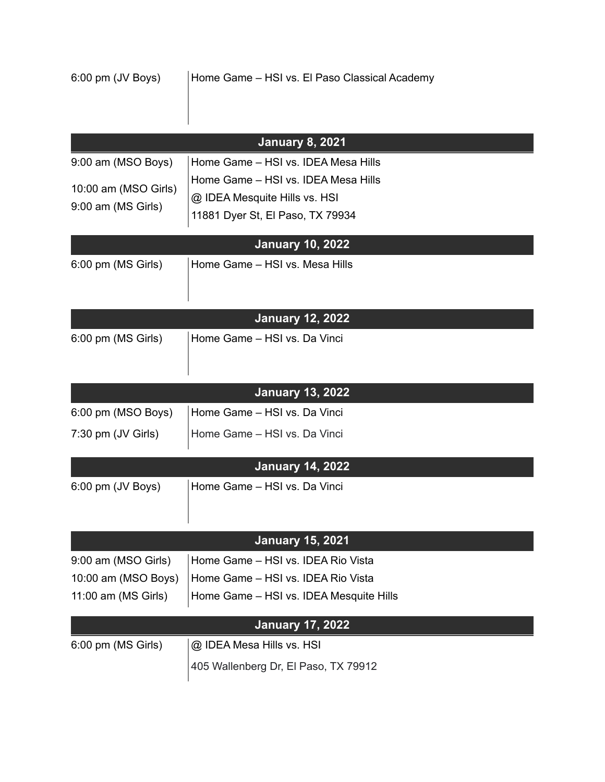|                                            | <b>January 8, 2021</b>                  |
|--------------------------------------------|-----------------------------------------|
| 9:00 am (MSO Boys)                         | Home Game - HSI vs. IDEA Mesa Hills     |
| 10:00 am (MSO Girls)<br>9:00 am (MS Girls) | Home Game - HSI vs. IDEA Mesa Hills     |
|                                            | @ IDEA Mesquite Hills vs. HSI           |
|                                            | 11881 Dyer St, El Paso, TX 79934        |
|                                            | <b>January 10, 2022</b>                 |
| 6:00 pm (MS Girls)                         | Home Game - HSI vs. Mesa Hills          |
|                                            | <b>January 12, 2022</b>                 |
| 6:00 pm (MS Girls)                         | Home Game - HSI vs. Da Vinci            |
|                                            |                                         |
|                                            | <b>January 13, 2022</b>                 |
| 6:00 pm (MSO Boys)                         | Home Game - HSI vs. Da Vinci            |
| 7:30 pm (JV Girls)                         | Home Game - HSI vs. Da Vinci            |
|                                            | <b>January 14, 2022</b>                 |
| 6:00 pm (JV Boys)                          | Home Game - HSI vs. Da Vinci            |
|                                            |                                         |
|                                            | <b>January 15, 2021</b>                 |
| 9:00 am (MSO Girls)                        | Home Game - HSI vs. IDEA Rio Vista      |
| 10:00 am (MSO Boys)                        | Home Game - HSI vs. IDEA Rio Vista      |
| 11:00 am (MS Girls)                        | Home Game - HSI vs. IDEA Mesquite Hills |
|                                            | <b>January 17, 2022</b>                 |
| 6:00 pm (MS Girls)                         | @ IDEA Mesa Hills vs. HSI               |
|                                            | 405 Wallenberg Dr, El Paso, TX 79912    |
|                                            |                                         |